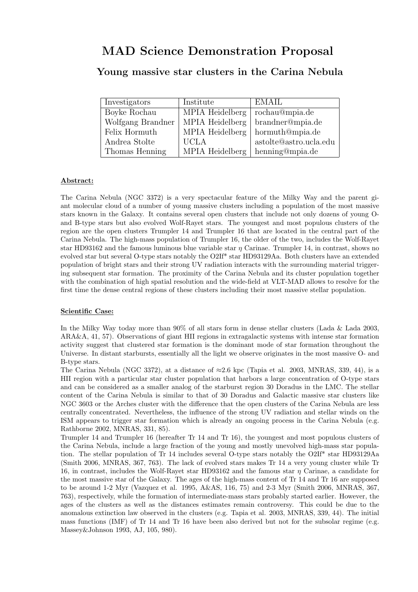# MAD Science Demonstration Proposal

# Young massive star clusters in the Carina Nebula

| Investigators     | Institute       | <b>EMAIL</b>           |
|-------------------|-----------------|------------------------|
| Boyke Rochau      | MPIA Heidelberg | rochau@mpia.de         |
| Wolfgang Brandner | MPIA Heidelberg | brandner@mpia.de       |
| Felix Hormuth     | MPIA Heidelberg | hormuth@mpia.de        |
| Andrea Stolte     | <b>UCLA</b>     | astolte@astro.ucla.edu |
| Thomas Henning    | MPIA Heidelberg | henning@mpia.de        |

### Abstract:

The Carina Nebula (NGC 3372) is a very spectacular feature of the Milky Way and the parent giant molecular cloud of a number of young massive clusters including a population of the most massive stars known in the Galaxy. It contains several open clusters that include not only dozens of young Oand B-type stars but also evolved Wolf-Rayet stars. The youngest and most populous clusters of the region are the open clusters Trumpler 14 and Trumpler 16 that are located in the central part of the Carina Nebula. The high-mass population of Trumpler 16, the older of the two, includes the Wolf-Rayet star HD93162 and the famous luminous blue variable star  $\eta$  Carinae. Trumpler 14, in contrast, shows no evolved star but several O-type stars notably the O2If\* star HD93129Aa. Both clusters have an extended population of bright stars and their strong UV radiation interacts with the surrounding material triggering subsequent star formation. The proximity of the Carina Nebula and its cluster population together with the combination of high spatial resolution and the wide-field at VLT-MAD allows to resolve for the first time the dense central regions of these clusters including their most massive stellar population.

#### Scientific Case:

In the Milky Way today more than 90% of all stars form in dense stellar clusters (Lada & Lada 2003, ARA&A, 41, 57). Observations of giant HII regions in extragalactic systems with intense star formation activity suggest that clustered star formation is the dominant mode of star formation throughout the Universe. In distant starbursts, essentially all the light we observe originates in the most massive O- and B-type stars.

The Carina Nebula (NGC 3372), at a distance of  $\approx 2.6$  kpc (Tapia et al. 2003, MNRAS, 339, 44), is a HII region with a particular star cluster population that harbors a large concentration of O-type stars and can be considered as a smaller analog of the starburst region 30 Doradus in the LMC. The stellar content of the Carina Nebula is similar to that of 30 Doradus and Galactic massive star clusters like NGC 3603 or the Arches cluster with the difference that the open clusters of the Carina Nebula are less centrally concentrated. Nevertheless, the influence of the strong UV radiation and stellar winds on the ISM appears to trigger star formation which is already an ongoing process in the Carina Nebula (e.g. Rathborne 2002, MNRAS, 331, 85).

Trumpler 14 and Trumpler 16 (hereafter Tr 14 and Tr 16), the youngest and most populous clusters of the Carina Nebula, include a large fraction of the young and mostly unevolved high-mass star population. The stellar population of Tr 14 includes several O-type stars notably the O2If\* star HD93129Aa (Smith 2006, MNRAS, 367, 763). The lack of evolved stars makes Tr 14 a very young cluster while Tr 16, in contrast, includes the Wolf-Rayet star HD93162 and the famous star  $\eta$  Carinae, a candidate for the most massive star of the Galaxy. The ages of the high-mass content of Tr 14 and Tr 16 are supposed to be around 1-2 Myr (Vazquez et al. 1995, A&AS, 116, 75) and 2-3 Myr (Smith 2006, MNRAS, 367, 763), respectively, while the formation of intermediate-mass stars probably started earlier. However, the ages of the clusters as well as the distances estimates remain controversy. This could be due to the anomalous extinction law observed in the clusters (e.g. Tapia et al. 2003, MNRAS, 339, 44). The initial mass functions (IMF) of Tr 14 and Tr 16 have been also derived but not for the subsolar regime (e.g. Massey&Johnson 1993, AJ, 105, 980).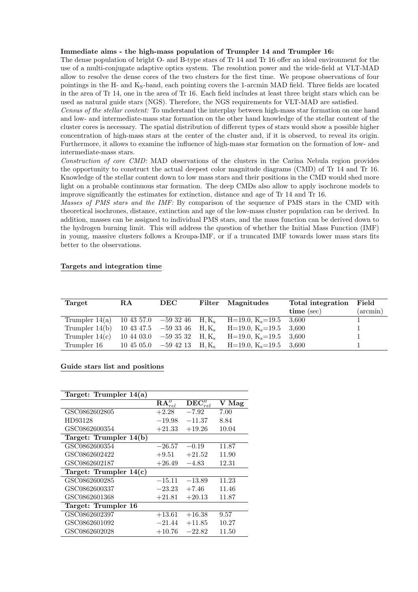#### Immediate aims - the high-mass population of Trumpler 14 and Trumpler 16:

The dense population of bright O- and B-type stars of Tr 14 and Tr 16 offer an ideal environment for the use of a multi-conjugate adaptive optics system. The resolution power and the wide-field at VLT-MAD allow to resolve the dense cores of the two clusters for the first time. We propose observations of four pointings in the H- and K<sub>S</sub>-band, each pointing covers the 1-arcmin MAD field. Three fields are located in the area of Tr 14, one in the area of Tr 16. Each field includes at least three bright stars which can be used as natural guide stars (NGS). Therefore, the NGS requirements for VLT-MAD are satisfied.

Census of the stellar content: To understand the interplay between high-mass star formation on one hand and low- and intermediate-mass star formation on the other hand knowledge of the stellar content of the cluster cores is necessary. The spatial distribution of different types of stars would show a possible higher concentration of high-mass stars at the center of the cluster and, if it is observed, to reveal its origin. Furthermore, it allows to examine the influence of high-mass star formation on the formation of low- and intermediate-mass stars.

Construction of core CMD: MAD observations of the clusters in the Carina Nebula region provides the opportunity to construct the actual deepest color magnitude diagrams (CMD) of Tr 14 and Tr 16. Knowledge of the stellar content down to low mass stars and their positions in the CMD would shed more light on a probable continuous star formation. The deep CMDs also allow to apply isochrone models to improve significantly the estimates for extinction, distance and age of Tr 14 and Tr 16.

Masses of PMS stars and the IMF: By comparison of the sequence of PMS stars in the CMD with theoretical isochrones, distance, extinction and age of the low-mass cluster population can be derived. In addition, masses can be assigned to individual PMS stars, and the mass function can be derived down to the hydrogen burning limit. This will address the question of whether the Initial Mass Function (IMF) in young, massive clusters follows a Kroupa-IMF, or if a truncated IMF towards lower mass stars fits better to the observations.

#### Targets and integration time

| Target           | R.A        | DEC           | Filter   | Magnitudes         | Total integration | Field       |
|------------------|------------|---------------|----------|--------------------|-------------------|-------------|
|                  |            |               |          |                    | time (sec)        | $(\arcsin)$ |
| Trumpler $14(a)$ | 10 43 57.0 | $-59\;32\;46$ | $H, K_s$ | $H=19.0, K_s=19.5$ | 3.600             |             |
| Trumpler $14(b)$ | 10 43 47.5 | $-593346$     | $H, K_s$ | $H=19.0, K_s=19.5$ | 3.600             |             |
| Trumpler $14(c)$ | 10 44 03.0 | $-593532$     | $H, K_s$ | $H=19.0, K_s=19.5$ | 3.600             |             |
| Trumpler 16      | 10 45 05.0 | $-59\;42\;13$ | $H, K_s$ | $H=19.0, K_s=19.5$ | 3.600             |             |

#### Guide stars list and positions

| Target: Trumpler $14(a)$ |                                  |                                   |       |
|--------------------------|----------------------------------|-----------------------------------|-------|
|                          | $\overline{\mathbf{RA}}''_{rel}$ | $\overline{\text{DEC}}{}''_{rel}$ | V Mag |
| GSC0862602805            | $+2.28$                          | $-7.92$                           | 7.00  |
| HD93128                  | $-19.98$                         | $-11.37$                          | 8.84  |
| GSC0862600354            | $+21.33$                         | $+19.26$                          | 10.04 |
| Target: Trumpler 14(b)   |                                  |                                   |       |
| GSC0862600354            | $-26.57$                         | $-0.19$                           | 11.87 |
| GSC0862602422            | $+9.51$                          | $+21.52$                          | 11.90 |
| GSC0862602187            | $+26.49$                         | $-4.83$                           | 12.31 |
| Target: Trumpler $14(c)$ |                                  |                                   |       |
| GSC0862600285            | $-15.11$                         | $-13.89$                          | 11.23 |
| GSC0862600337            | $-23.23$                         | $+7.46$                           | 11.46 |
| GSC0862601368            | $+21.81$                         | $+20.13$                          | 11.87 |
| Target: Trumpler 16      |                                  |                                   |       |
| GSC0862602397            | $+13.61$                         | $+16.38$                          | 9.57  |
| GSC0862601092            | $-21.44$                         | $+11.85$                          | 10.27 |
| GSC0862602028            | $+10.76$                         | $-22.82$                          | 11.50 |